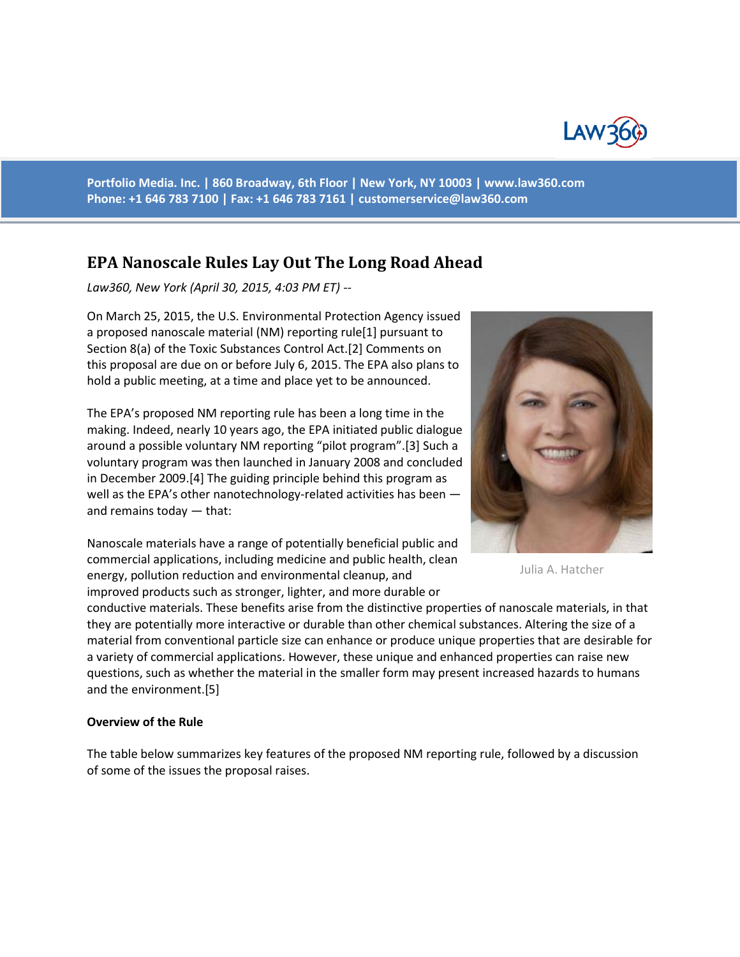

**Portfolio Media. Inc. | 860 Broadway, 6th Floor | New York, NY 10003 | www.law360.com Phone: +1 646 783 7100 | Fax: +1 646 783 7161 | [customerservice@law360.com](mailto:customerservice@law360.com)**

# **EPA Nanoscale Rules Lay Out The Long Road Ahead**

*Law360, New York (April 30, 2015, 4:03 PM ET) --*

On March 25, 2015, the U.S. Environmental Protection Agency issued a proposed nanoscale material (NM) reporting rule[1] pursuant to Section 8(a) of the Toxic Substances Control Act.[2] Comments on this proposal are due on or before July 6, 2015. The EPA also plans to hold a public meeting, at a time and place yet to be announced.

The EPA's proposed NM reporting rule has been a long time in the making. Indeed, nearly 10 years ago, the EPA initiated public dialogue around a possible voluntary NM reporting "pilot program".[3] Such a voluntary program was then launched in January 2008 and concluded in December 2009.[4] The guiding principle behind this program as well as the EPA's other nanotechnology-related activities has been and remains today — that:

Nanoscale materials have a range of potentially beneficial public and commercial applications, including medicine and public health, clean energy, pollution reduction and environmental cleanup, and improved products such as stronger, lighter, and more durable or



Julia A. Hatcher

conductive materials. These benefits arise from the distinctive properties of nanoscale materials, in that they are potentially more interactive or durable than other chemical substances. Altering the size of a material from conventional particle size can enhance or produce unique properties that are desirable for a variety of commercial applications. However, these unique and enhanced properties can raise new questions, such as whether the material in the smaller form may present increased hazards to humans and the environment.[5]

#### **Overview of the Rule**

The table below summarizes key features of the proposed NM reporting rule, followed by a discussion of some of the issues the proposal raises.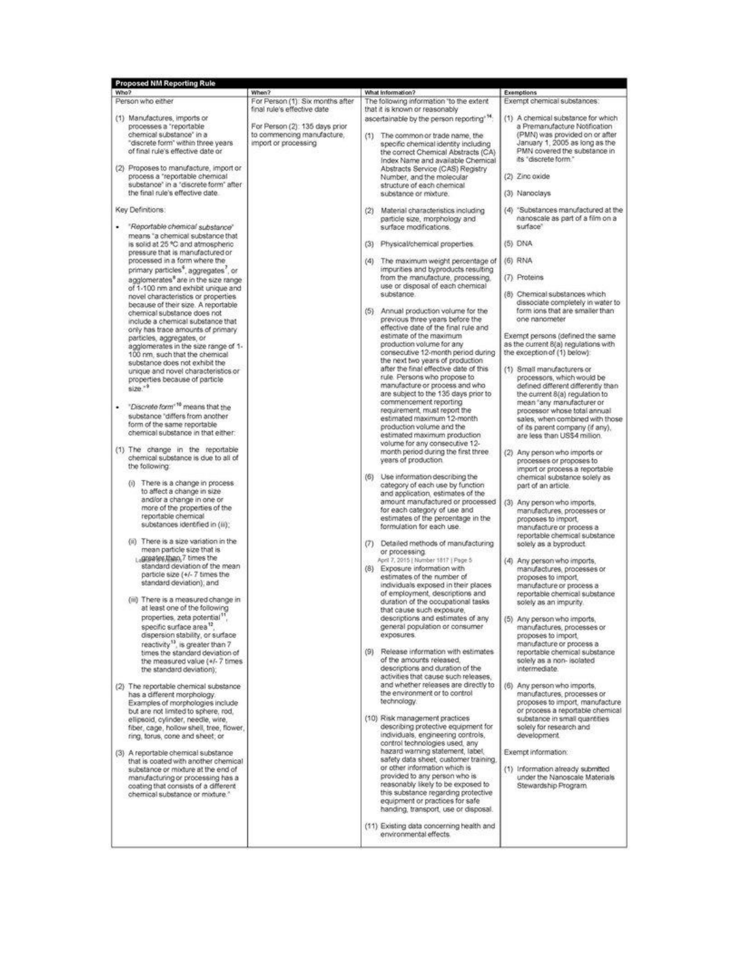| <b>Proposed NM Reporting Rule</b> |                                                                                                                                                                                                                                                                                                                                                                                                                                                                                                                                                                                                  |                                                                                                                                                                                                                        |                                                                                                                                                                                                                                                                                                                                                                                                                                                                                                                                                                                                                                      |                                                                                                                                                                                                                                                                                                                               |
|-----------------------------------|--------------------------------------------------------------------------------------------------------------------------------------------------------------------------------------------------------------------------------------------------------------------------------------------------------------------------------------------------------------------------------------------------------------------------------------------------------------------------------------------------------------------------------------------------------------------------------------------------|------------------------------------------------------------------------------------------------------------------------------------------------------------------------------------------------------------------------|--------------------------------------------------------------------------------------------------------------------------------------------------------------------------------------------------------------------------------------------------------------------------------------------------------------------------------------------------------------------------------------------------------------------------------------------------------------------------------------------------------------------------------------------------------------------------------------------------------------------------------------|-------------------------------------------------------------------------------------------------------------------------------------------------------------------------------------------------------------------------------------------------------------------------------------------------------------------------------|
| Who?                              | Person who either                                                                                                                                                                                                                                                                                                                                                                                                                                                                                                                                                                                | When?<br>For Person (1): Six months after                                                                                                                                                                              | What Information?<br>The following information "to the extent                                                                                                                                                                                                                                                                                                                                                                                                                                                                                                                                                                        | Exemptions<br>Exempt chemical substances:                                                                                                                                                                                                                                                                                     |
|                                   | (1) Manufactures, imports or<br>processes a "reportable"<br>chemical substance" in a<br>"discrete form" within three years<br>of final rule's effective date or                                                                                                                                                                                                                                                                                                                                                                                                                                  | final rule's effective date<br>For Person (2): 135 days prior<br>to commencing manufacture,<br>import or processing                                                                                                    | that it is known or reasonably<br>ascertainable by the person reporting <sup>+14</sup> :<br>(1) The common or trade name, the<br>specific chemical identity including<br>the correct Chemical Abstracts (CA)<br>Index Name and available Chemical<br>Abstracts Service (CAS) Registry<br>Number, and the molecular<br>structure of each chemical<br>substance or modure.                                                                                                                                                                                                                                                             | (1) A chemical substance for which<br>a Premanufacture Notification<br>(PMN) was provided on or after<br>January 1, 2005 as long as the<br>PMN covered the substance in                                                                                                                                                       |
|                                   | (2) Proposes to manufacture, import or<br>process a "reportable chemical<br>substance" in a "discrete form" after:<br>the final rule's effective date.                                                                                                                                                                                                                                                                                                                                                                                                                                           |                                                                                                                                                                                                                        |                                                                                                                                                                                                                                                                                                                                                                                                                                                                                                                                                                                                                                      | its "discrete form."<br>(2) Zinc oxide<br>(3) Nanoclays                                                                                                                                                                                                                                                                       |
| Key Definitions:                  |                                                                                                                                                                                                                                                                                                                                                                                                                                                                                                                                                                                                  |                                                                                                                                                                                                                        |                                                                                                                                                                                                                                                                                                                                                                                                                                                                                                                                                                                                                                      | (4) "Substances manufactured at the                                                                                                                                                                                                                                                                                           |
|                                   | "Reportable chemical substance"<br>means "a chemical substance that                                                                                                                                                                                                                                                                                                                                                                                                                                                                                                                              |                                                                                                                                                                                                                        | (2) Material characteristics including<br>particle size, morphology and<br>surface modifications.                                                                                                                                                                                                                                                                                                                                                                                                                                                                                                                                    | nanoscale as part of a film on a<br>surface"                                                                                                                                                                                                                                                                                  |
|                                   | is solid at 25 °C and atmospheric<br>pressure that is manufactured or<br>processed in a form where the<br>primary particles <sup>4</sup> , aggregates <sup>7</sup> , or<br>agglomerates <sup>®</sup> are in the size range<br>of 1-100 nm and exhibit unique and<br>novel characteristics or properties<br>because of their size. A reportable<br>chemical substance does not<br>include a chemical substance that<br>only has trace amounts of primary<br>particles, aggregates, or<br>agglomerates in the size range of 1-<br>100 nm, such that the chemical<br>substance does not exhibit the |                                                                                                                                                                                                                        | (3) Physical/chemical properties.                                                                                                                                                                                                                                                                                                                                                                                                                                                                                                                                                                                                    | (5) DNA                                                                                                                                                                                                                                                                                                                       |
|                                   |                                                                                                                                                                                                                                                                                                                                                                                                                                                                                                                                                                                                  |                                                                                                                                                                                                                        | (4)<br>The maximum weight percentage of                                                                                                                                                                                                                                                                                                                                                                                                                                                                                                                                                                                              | (6) RNA                                                                                                                                                                                                                                                                                                                       |
|                                   |                                                                                                                                                                                                                                                                                                                                                                                                                                                                                                                                                                                                  |                                                                                                                                                                                                                        | impurities and byproducts resulting<br>from the manufacture, processing,                                                                                                                                                                                                                                                                                                                                                                                                                                                                                                                                                             | (7) Proteins                                                                                                                                                                                                                                                                                                                  |
|                                   |                                                                                                                                                                                                                                                                                                                                                                                                                                                                                                                                                                                                  |                                                                                                                                                                                                                        | use or disposal of each chemical<br>substance.<br>(5) Annual production volume for the<br>previous three years before the                                                                                                                                                                                                                                                                                                                                                                                                                                                                                                            | (8) Chemical substances which<br>dissociate completely in water to<br>form ions that are smaller than<br>one nanometer                                                                                                                                                                                                        |
|                                   |                                                                                                                                                                                                                                                                                                                                                                                                                                                                                                                                                                                                  |                                                                                                                                                                                                                        | effective date of the final rule and<br>estimate of the maximum<br>production volume for any<br>consecutive 12-month period during<br>the next two years of production<br>after the final effective date of this<br>rule. Persons who propose to<br>manufacture or process and who<br>are subject to the 135 days prior to<br>commencement reporting<br>requirement, must report the<br>estimated maximum 12-month<br>production volume and the<br>estimated maximum production<br>volume for any consecutive 12-<br>month period during the first three.<br>years of production.                                                    | Exempt persons (defined the same<br>as the current 8(a) regulations with<br>the exception of (1) below):                                                                                                                                                                                                                      |
| ۰                                 | unique and novel characteristics or<br>properties because of particle<br>$size^{-9}$<br>"Discrete form" <sup>10</sup> means that the<br>substance "differs from another<br>form of the same reportable<br>chemical substance in that either:                                                                                                                                                                                                                                                                                                                                                     |                                                                                                                                                                                                                        |                                                                                                                                                                                                                                                                                                                                                                                                                                                                                                                                                                                                                                      | (1) Small manufacturers or<br>processors, which would be<br>defined different differently than<br>the current 8(a) regulation to<br>mean "any manufacturer or<br>processor whose total annual<br>sales, when combined with those<br>of its parent company (if any),<br>are less than US\$4 million.                           |
|                                   | (1) The change in the reportable<br>chemical substance is due to all of<br>the following:                                                                                                                                                                                                                                                                                                                                                                                                                                                                                                        |                                                                                                                                                                                                                        |                                                                                                                                                                                                                                                                                                                                                                                                                                                                                                                                                                                                                                      | (2) Any person who imports or<br>processes or proposes to<br>import or process a reportable<br>chemical substance solely as<br>part of an article.<br>(3) Any person who imports,<br>manufactures, processes or<br>proposes to import.<br>manufacture or process a<br>reportable chemical substance<br>solely as a byproduct. |
|                                   | (i) There is a change in process<br>to affect a change in size<br>and/or a change in one or<br>more of the properties of the<br>reportable chemical<br>substances identified in (iii);<br>(ii) There is a size variation in the                                                                                                                                                                                                                                                                                                                                                                  |                                                                                                                                                                                                                        | (6) Use information describing the<br>category of each use by function<br>and application, estimates of the<br>amount manufactured or processed<br>for each category of use and<br>estimates of the percentage in the<br>formulation for each use.<br>(7) Detailed methods of manufacturing                                                                                                                                                                                                                                                                                                                                          |                                                                                                                                                                                                                                                                                                                               |
|                                   | mean particle size that is<br>Lapsates, than, 7 times the<br>standard deviation of the mean<br>particle size (+/- 7 times the<br>standard deviation), and<br>(iii) There is a measured change in                                                                                                                                                                                                                                                                                                                                                                                                 |                                                                                                                                                                                                                        | or processing.<br>April 7, 2015   Number 1817   Page 5<br>(8) Exposure information with<br>estimates of the number of<br>individuals exposed in their places.<br>of employment, descriptions and<br>duration of the occupational tasks<br>that cause such exposure,<br>descriptions and estimates of any<br>general population or consumer<br>exposures.<br>(9) Release information with estimates<br>of the amounts released,<br>descriptions and duration of the<br>activities that cause such releases,<br>and whether releases are directly to<br>the environment or to control<br>technology.<br>(10) Risk management practices | (4) Any person who imports,<br>manufactures, processes or<br>proposes to import.<br>manufacture or process a<br>reportable chemical substance<br>solely as an impurity.                                                                                                                                                       |
|                                   | at least one of the following<br>properties, zeta potential <sup>11</sup><br>specific surface area <sup>12</sup> .<br>dispersion stability, or surface<br>reactivity <sup>13</sup> , is greater than 7<br>times the standard deviation of<br>the measured value (+/-7 times<br>the standard deviation);                                                                                                                                                                                                                                                                                          |                                                                                                                                                                                                                        |                                                                                                                                                                                                                                                                                                                                                                                                                                                                                                                                                                                                                                      | (5) Any person who imports,<br>manufactures, processes or<br>proposes to import.<br>manufacture or process a<br>reportable chemical substance<br>solely as a non- isolated<br>intermediate.                                                                                                                                   |
|                                   | (2) The reportable chemical substance<br>has a different morphology.<br>Examples of morphologies include<br>but are not limited to sphere, rod.<br>ellipsoid, cylinder, needle, wire,                                                                                                                                                                                                                                                                                                                                                                                                            |                                                                                                                                                                                                                        |                                                                                                                                                                                                                                                                                                                                                                                                                                                                                                                                                                                                                                      | (6) Any person who imports,<br>manufactures, processes or<br>proposes to import, manufacture.<br>or process a reportable chemical<br>substance in small quantities                                                                                                                                                            |
|                                   | fiber, cage, hollow shell, tree, flower,<br>ring, torus, cone and sheet; or                                                                                                                                                                                                                                                                                                                                                                                                                                                                                                                      |                                                                                                                                                                                                                        | describing protective equipment for<br>individuals, engineering controls,<br>control technologies used, any                                                                                                                                                                                                                                                                                                                                                                                                                                                                                                                          | solely for research and<br>development.                                                                                                                                                                                                                                                                                       |
|                                   | (3) A reportable chemical substance                                                                                                                                                                                                                                                                                                                                                                                                                                                                                                                                                              |                                                                                                                                                                                                                        | hazard warning statement, label,<br>safety data sheet, customer training,                                                                                                                                                                                                                                                                                                                                                                                                                                                                                                                                                            | Exempt information:                                                                                                                                                                                                                                                                                                           |
|                                   | that is coated with another chemical<br>substance or mixture at the end of<br>manufacturing or processing has a<br>coating that consists of a different<br>chemical substance or mixture."                                                                                                                                                                                                                                                                                                                                                                                                       | or other information which is<br>provided to any person who is<br>reasonably likely to be exposed to<br>this substance regarding protective<br>equipment or practices for safe<br>handing, transport, use or disposal. | (1) Information already submitted<br>under the Nanoscale Materials<br>Stewardship Program.                                                                                                                                                                                                                                                                                                                                                                                                                                                                                                                                           |                                                                                                                                                                                                                                                                                                                               |
|                                   |                                                                                                                                                                                                                                                                                                                                                                                                                                                                                                                                                                                                  |                                                                                                                                                                                                                        | (11) Existing data concerning health and<br>environmental effects.                                                                                                                                                                                                                                                                                                                                                                                                                                                                                                                                                                   |                                                                                                                                                                                                                                                                                                                               |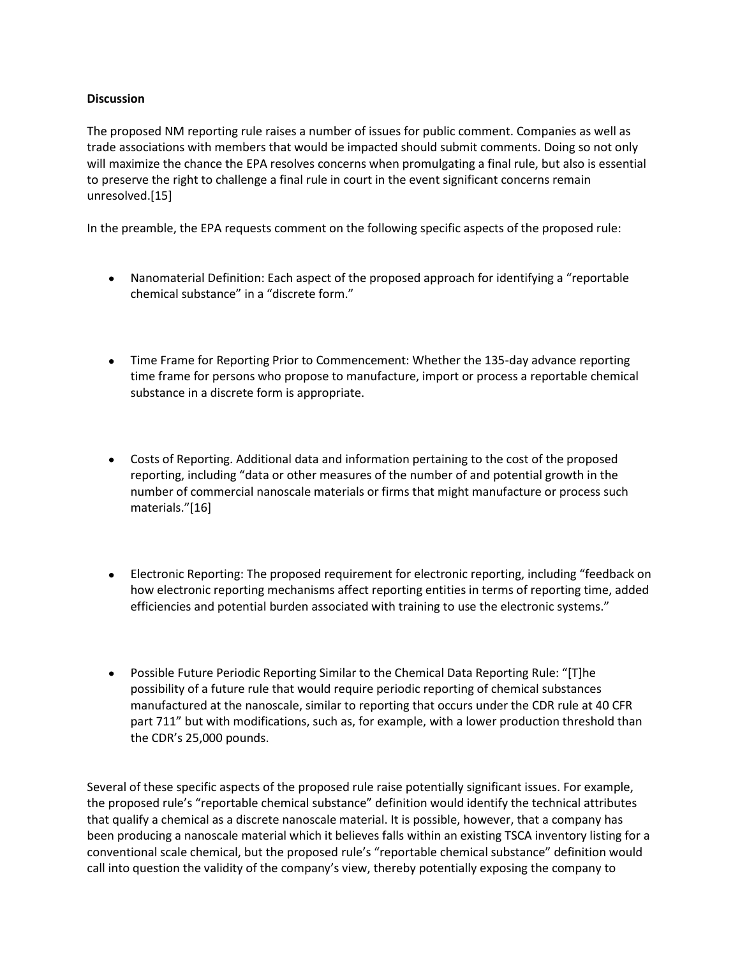## **Discussion**

The proposed NM reporting rule raises a number of issues for public comment. Companies as well as trade associations with members that would be impacted should submit comments. Doing so not only will maximize the chance the EPA resolves concerns when promulgating a final rule, but also is essential to preserve the right to challenge a final rule in court in the event significant concerns remain unresolved.[15]

In the preamble, the EPA requests comment on the following specific aspects of the proposed rule:

- Nanomaterial Definition: Each aspect of the proposed approach for identifying a "reportable chemical substance" in a "discrete form."
- Time Frame for Reporting Prior to Commencement: Whether the 135-day advance reporting time frame for persons who propose to manufacture, import or process a reportable chemical substance in a discrete form is appropriate.
- Costs of Reporting. Additional data and information pertaining to the cost of the proposed reporting, including "data or other measures of the number of and potential growth in the number of commercial nanoscale materials or firms that might manufacture or process such materials."[16]
- Electronic Reporting: The proposed requirement for electronic reporting, including "feedback on how electronic reporting mechanisms affect reporting entities in terms of reporting time, added efficiencies and potential burden associated with training to use the electronic systems."
- Possible Future Periodic Reporting Similar to the Chemical Data Reporting Rule: "[T]he possibility of a future rule that would require periodic reporting of chemical substances manufactured at the nanoscale, similar to reporting that occurs under the CDR rule at 40 CFR part 711" but with modifications, such as, for example, with a lower production threshold than the CDR's 25,000 pounds.

Several of these specific aspects of the proposed rule raise potentially significant issues. For example, the proposed rule's "reportable chemical substance" definition would identify the technical attributes that qualify a chemical as a discrete nanoscale material. It is possible, however, that a company has been producing a nanoscale material which it believes falls within an existing TSCA inventory listing for a conventional scale chemical, but the proposed rule's "reportable chemical substance" definition would call into question the validity of the company's view, thereby potentially exposing the company to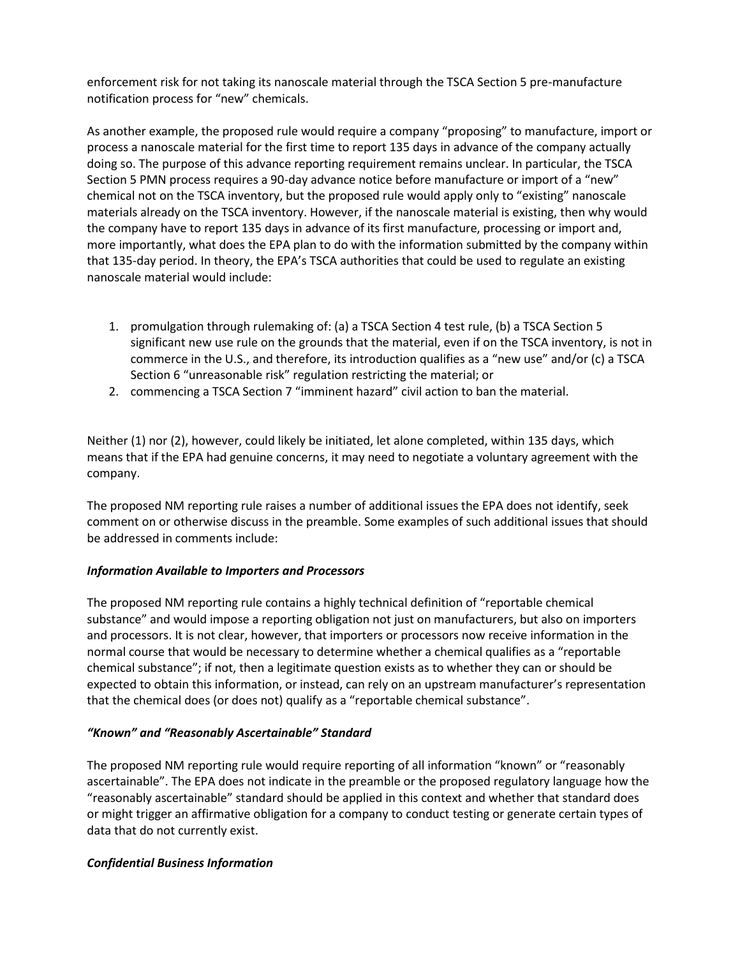enforcement risk for not taking its nanoscale material through the TSCA Section 5 pre-manufacture notification process for "new" chemicals.

As another example, the proposed rule would require a company "proposing" to manufacture, import or process a nanoscale material for the first time to report 135 days in advance of the company actually doing so. The purpose of this advance reporting requirement remains unclear. In particular, the TSCA Section 5 PMN process requires a 90-day advance notice before manufacture or import of a "new" chemical not on the TSCA inventory, but the proposed rule would apply only to "existing" nanoscale materials already on the TSCA inventory. However, if the nanoscale material is existing, then why would the company have to report 135 days in advance of its first manufacture, processing or import and, more importantly, what does the EPA plan to do with the information submitted by the company within that 135-day period. In theory, the EPA's TSCA authorities that could be used to regulate an existing nanoscale material would include:

- 1. promulgation through rulemaking of: (a) a TSCA Section 4 test rule, (b) a TSCA Section 5 significant new use rule on the grounds that the material, even if on the TSCA inventory, is not in commerce in the U.S., and therefore, its introduction qualifies as a "new use" and/or (c) a TSCA Section 6 "unreasonable risk" regulation restricting the material; or
- 2. commencing a TSCA Section 7 "imminent hazard" civil action to ban the material.

Neither (1) nor (2), however, could likely be initiated, let alone completed, within 135 days, which means that if the EPA had genuine concerns, it may need to negotiate a voluntary agreement with the company.

The proposed NM reporting rule raises a number of additional issues the EPA does not identify, seek comment on or otherwise discuss in the preamble. Some examples of such additional issues that should be addressed in comments include:

## *Information Available to Importers and Processors*

The proposed NM reporting rule contains a highly technical definition of "reportable chemical substance" and would impose a reporting obligation not just on manufacturers, but also on importers and processors. It is not clear, however, that importers or processors now receive information in the normal course that would be necessary to determine whether a chemical qualifies as a "reportable chemical substance"; if not, then a legitimate question exists as to whether they can or should be expected to obtain this information, or instead, can rely on an upstream manufacturer's representation that the chemical does (or does not) qualify as a "reportable chemical substance".

## *"Known" and "Reasonably Ascertainable" Standard*

The proposed NM reporting rule would require reporting of all information "known" or "reasonably ascertainable". The EPA does not indicate in the preamble or the proposed regulatory language how the "reasonably ascertainable" standard should be applied in this context and whether that standard does or might trigger an affirmative obligation for a company to conduct testing or generate certain types of data that do not currently exist.

## *Confidential Business Information*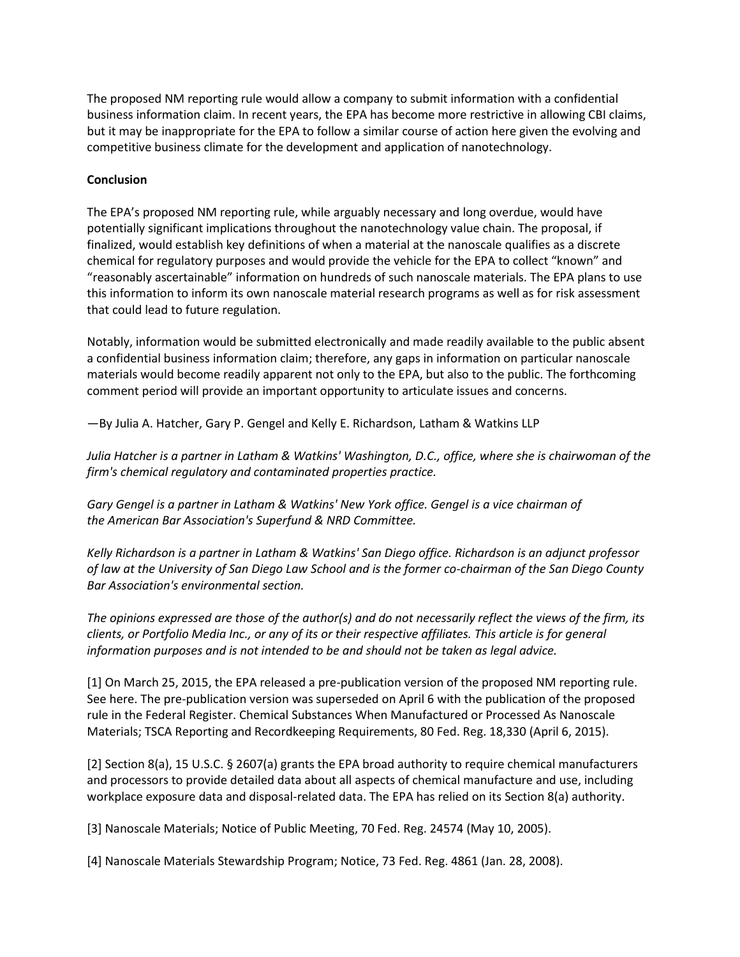The proposed NM reporting rule would allow a company to submit information with a confidential business information claim. In recent years, the EPA has become more restrictive in allowing CBI claims, but it may be inappropriate for the EPA to follow a similar course of action here given the evolving and competitive business climate for the development and application of nanotechnology.

#### **Conclusion**

The EPA's proposed NM reporting rule, while arguably necessary and long overdue, would have potentially significant implications throughout the nanotechnology value chain. The proposal, if finalized, would establish key definitions of when a material at the nanoscale qualifies as a discrete chemical for regulatory purposes and would provide the vehicle for the EPA to collect "known" and "reasonably ascertainable" information on hundreds of such nanoscale materials. The EPA plans to use this information to inform its own nanoscale material research programs as well as for risk assessment that could lead to future regulation.

Notably, information would be submitted electronically and made readily available to the public absent a confidential business information claim; therefore, any gaps in information on particular nanoscale materials would become readily apparent not only to the EPA, but also to the public. The forthcoming comment period will provide an important opportunity to articulate issues and concerns.

—By Julia A. Hatcher, Gary P. Gengel and Kelly E. Richardson, Latham & Watkins LLP

*Julia Hatcher is a partner in Latham & Watkins' Washington, D.C., office, where she is chairwoman of the firm's chemical regulatory and contaminated properties practice.*

*Gary Gengel is a partner in Latham & Watkins' New York office. Gengel is a vice chairman of the American Bar Association's Superfund & NRD Committee.*

*Kelly Richardson is a partner in Latham & Watkins' San Diego office. Richardson is an adjunct professor of law at the University of San Diego Law School and is the former co-chairman of the San Diego County Bar Association's environmental section.*

*The opinions expressed are those of the author(s) and do not necessarily reflect the views of the firm, its clients, or Portfolio Media Inc., or any of its or their respective affiliates. This article is for general information purposes and is not intended to be and should not be taken as legal advice.*

[1] On March 25, 2015, the EPA released a pre-publication version of the proposed NM reporting rule. See here. The pre-publication version was superseded on April 6 with the publication of the proposed rule in the Federal Register. Chemical Substances When Manufactured or Processed As Nanoscale Materials; TSCA Reporting and Recordkeeping Requirements, 80 Fed. Reg. 18,330 (April 6, 2015).

[2] Section 8(a), 15 U.S.C. § 2607(a) grants the EPA broad authority to require chemical manufacturers and processors to provide detailed data about all aspects of chemical manufacture and use, including workplace exposure data and disposal-related data. The EPA has relied on its Section 8(a) authority.

[3] Nanoscale Materials; Notice of Public Meeting, 70 Fed. Reg. 24574 (May 10, 2005).

[4] Nanoscale Materials Stewardship Program; Notice, 73 Fed. Reg. 4861 (Jan. 28, 2008).